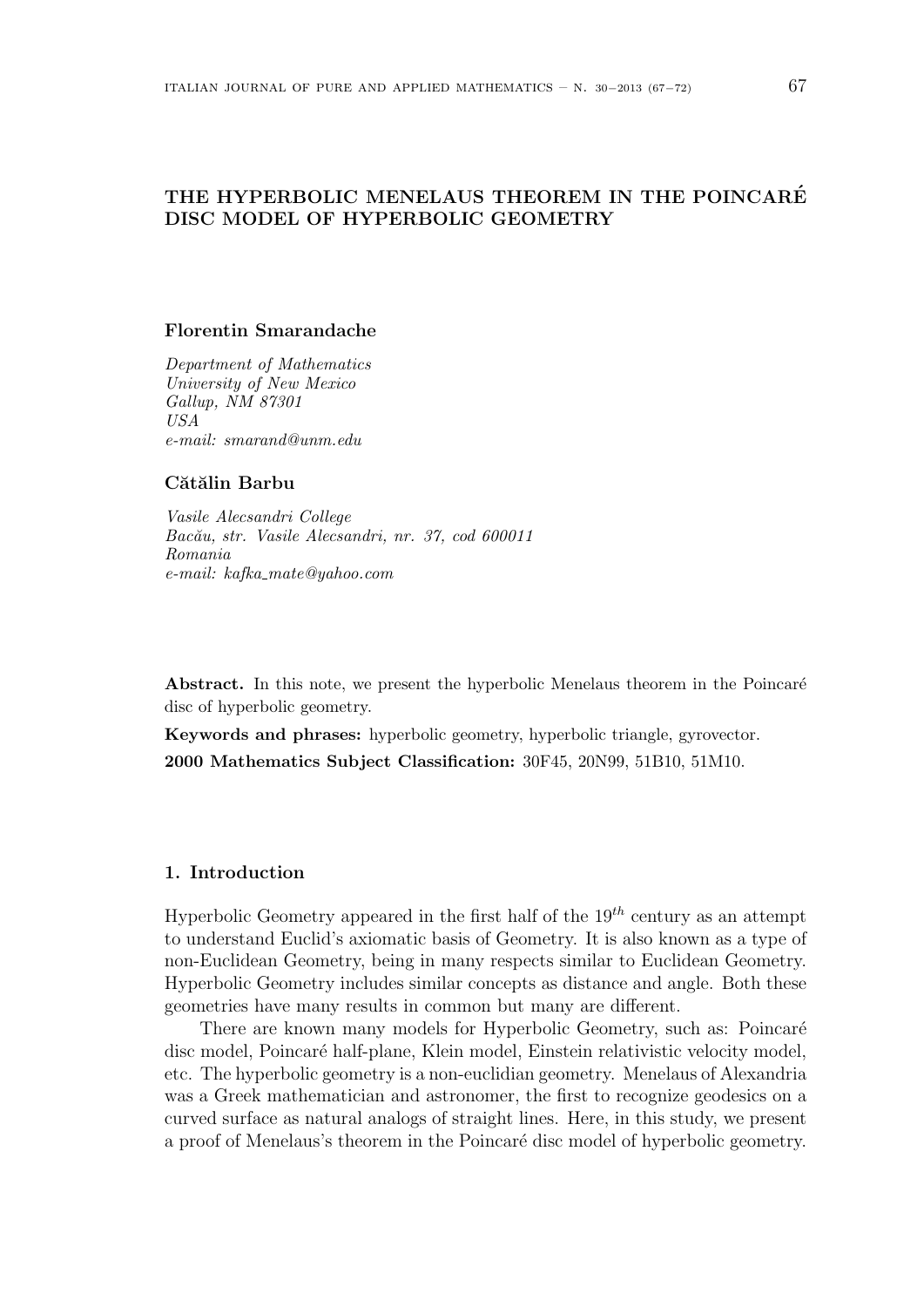# **THE HYPERBOLIC MENELAUS THEOREM IN THE POINCARE´ DISC MODEL OF HYPERBOLIC GEOMETRY**

## **Florentin Smarandache**

*Department of Mathematics University of New Mexico Gallup, NM 87301 USA e-mail: smarand@unm.edu*

## Cătălin Barbu

*Vasile Alecsandri College Bac˘au, str. Vasile Alecsandri, nr. 37, cod 600011 Romania e-mail: kafka mate@yahoo.com*

**Abstract.** In this note, we present the hyperbolic Menelaus theorem in the Poincaré disc of hyperbolic geometry.

**Keywords and phrases:** hyperbolic geometry, hyperbolic triangle, gyrovector. **2000 Mathematics Subject Classification:** 30F45, 20N99, 51B10, 51M10.

## **1. Introduction**

Hyperbolic Geometry appeared in the first half of the 19*th* century as an attempt to understand Euclid's axiomatic basis of Geometry. It is also known as a type of non-Euclidean Geometry, being in many respects similar to Euclidean Geometry. Hyperbolic Geometry includes similar concepts as distance and angle. Both these geometries have many results in common but many are different.

There are known many models for Hyperbolic Geometry, such as: Poincaré disc model, Poincar´e half-plane, Klein model, Einstein relativistic velocity model, etc. The hyperbolic geometry is a non-euclidian geometry. Menelaus of Alexandria was a Greek mathematician and astronomer, the first to recognize geodesics on a curved surface as natural analogs of straight lines. Here, in this study, we present a proof of Menelaus's theorem in the Poincaré disc model of hyperbolic geometry.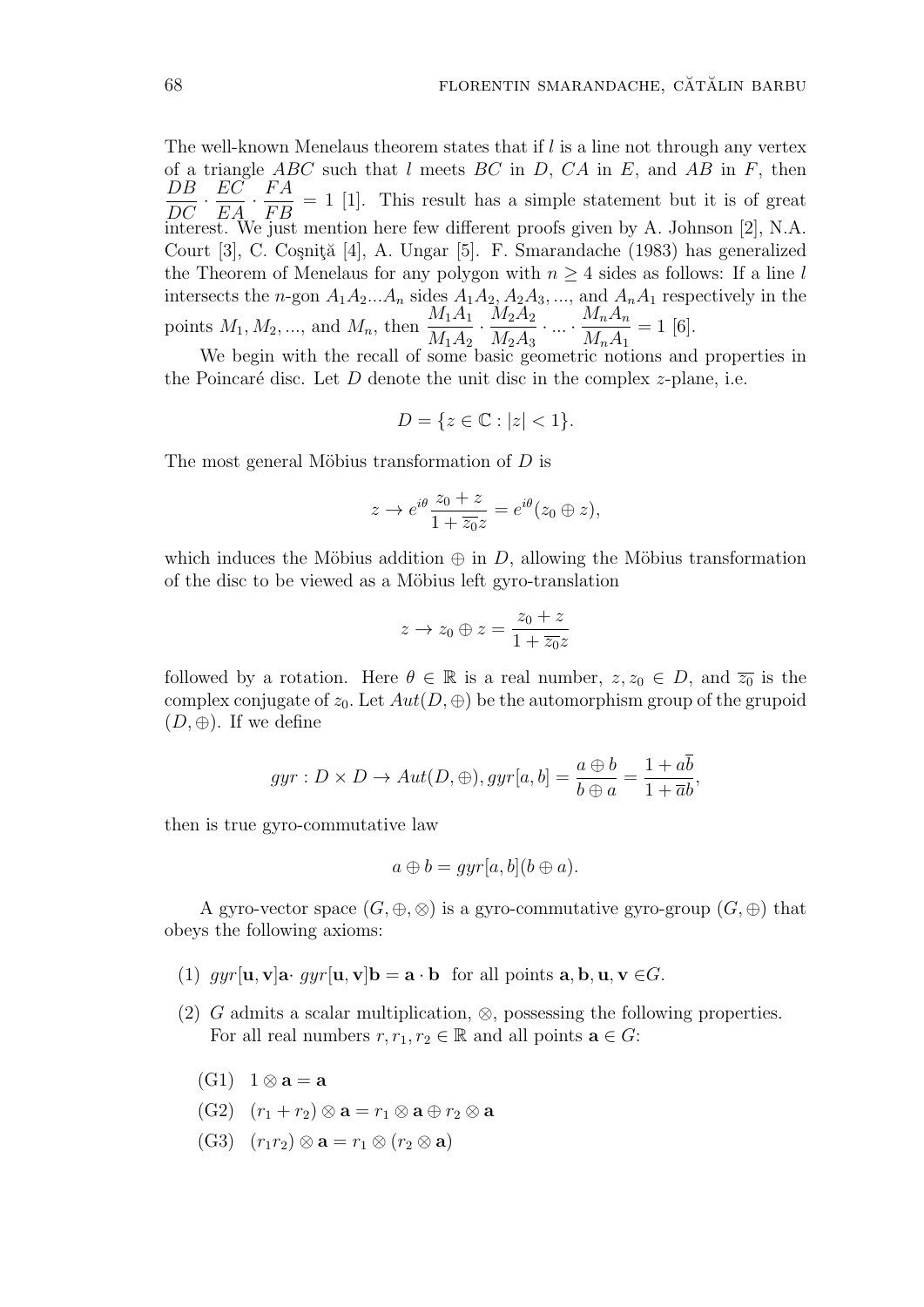The well-known Menelaus theorem states that if *l* is a line not through any vertex of a triangle *ABC* such that *l* meets *BC* in *D, CA* in *E*, and *AB* in *F*, then *DB*  $\frac{DE}{DC}$  · *EC*  $\frac{20}{EA}$  · *F A F B*  $= 1$  [1]. This result has a simple statement but it is of great interest. We just mention here few different proofs given by A. Johnson [2], N.A. Court [3], C. Coşniță [4], A. Ungar [5]. F. Smarandache (1983) has generalized the Theorem of Menelaus for any polygon with  $n \geq 4$  sides as follows: If a line *l* intersects the *n*-gon  $A_1A_2...A_n$  sides  $A_1A_2$ ,  $A_2A_3$ , ..., and  $A_nA_1$  respectively in the points  $M_1, M_2, \ldots$ , and  $M_n$ , then  $\frac{M_1 A_1}{M_1 A_2}$  $\frac{M_1A_1}{M_1A_2} \cdot \frac{M_2A_2}{M_2A_3}$  $M_2A_3$  $\cdot \ldots \cdot \frac{M_n A_n}{M_n}$  $M_nA_1$  $= 1$  [6].

We begin with the recall of some basic geometric notions and properties in the Poincaré disc. Let  $D$  denote the unit disc in the complex  $z$ -plane, i.e.

$$
D = \{ z \in \mathbb{C} : |z| < 1 \}.
$$

The most general Möbius transformation of *D* is

$$
z \to e^{i\theta} \frac{z_0 + z}{1 + \overline{z_0} z} = e^{i\theta} (z_0 \oplus z),
$$

which induces the Möbius addition  $\oplus$  in *D*, allowing the Möbius transformation of the disc to be viewed as a Möbius left gyro-translation

$$
z \to z_0 \oplus z = \frac{z_0 + z}{1 + \overline{z_0}z}
$$

followed by a rotation. Here  $\theta \in \mathbb{R}$  is a real number,  $z, z_0 \in D$ , and  $\overline{z_0}$  is the complex conjugate of  $z_0$ . Let  $Aut(D, \oplus)$  be the automorphism group of the grupoid  $(D, \oplus)$ . If we define

$$
gyr: D \times D \to Aut(D, \oplus), gyr[a, b] = \frac{a \oplus b}{b \oplus a} = \frac{1 + ab}{1 + \overline{a}b},
$$

then is true gyro-commutative law

$$
a \oplus b = gyr[a, b](b \oplus a).
$$

A gyro-vector space  $(G, \oplus, \otimes)$  is a gyro-commutative gyro-group  $(G, \oplus)$  that obeys the following axioms:

- (1)  $qyr[u, v]$ **a**  $qyr[u, v]$ **b** = **a**  $\cdot$  **b** for all points **a**, **b**, **u**, **v**  $\in$ *G*.
- (2) *G* admits a scalar multiplication, *⊗*, possessing the following properties. For all real numbers  $r, r_1, r_2 \in \mathbb{R}$  and all points  $\mathbf{a} \in G$ :
	- $(G1)$  1  $\otimes$  **a** = **a**
	- $(G2)$   $(r_1 + r_2) \otimes a = r_1 \otimes a \oplus r_2 \otimes a$
	- $(G3)$   $(r_1r_2) \otimes \mathbf{a} = r_1 \otimes (r_2 \otimes \mathbf{a})$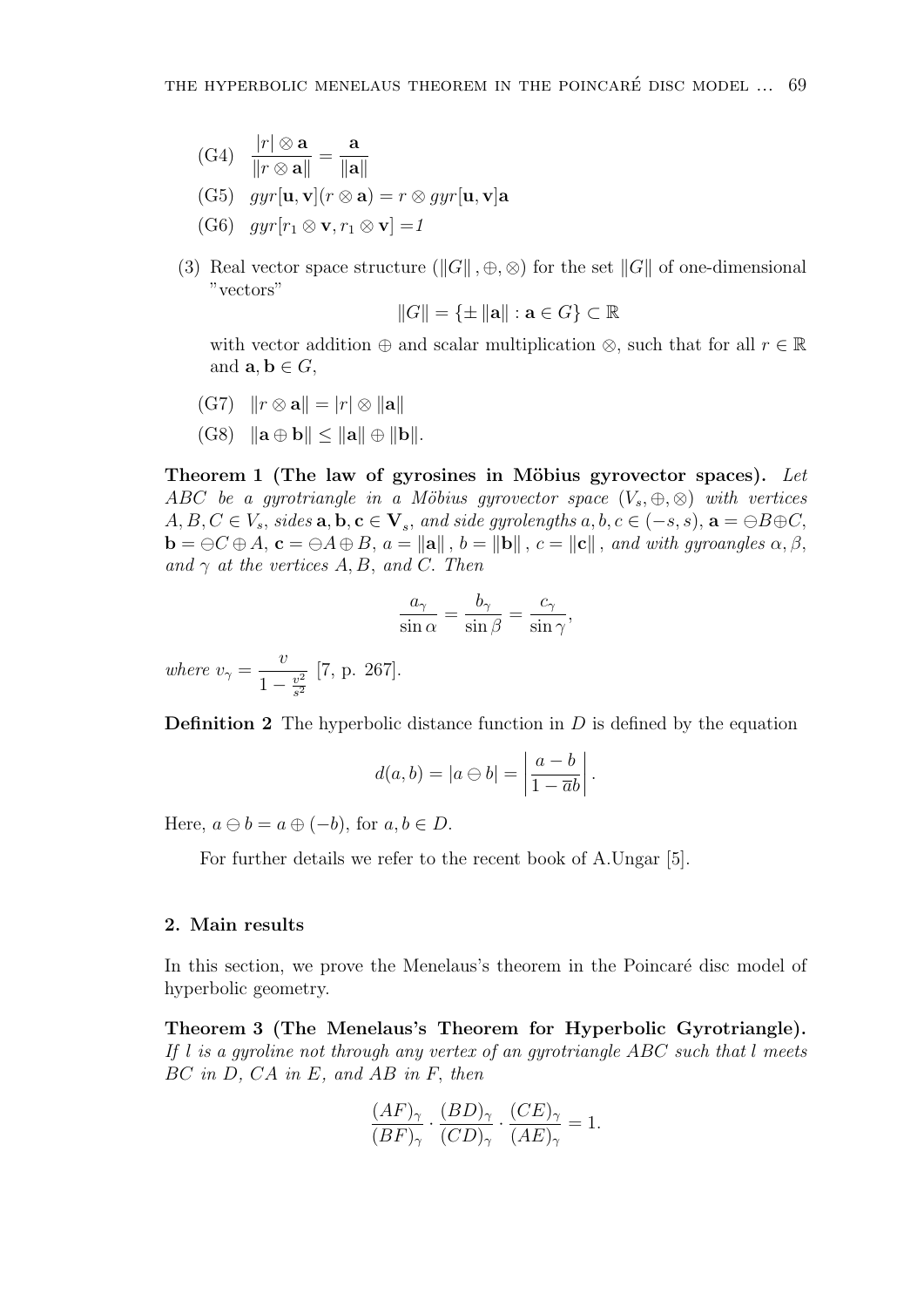(G4) 
$$
\frac{|r| \otimes \mathbf{a}}{\|r \otimes \mathbf{a}\|} = \frac{\mathbf{a}}{\|\mathbf{a}\|}
$$

- $(G5)$   $qyr[\mathbf{u}, \mathbf{v}](r \otimes \mathbf{a}) = r \otimes qyr[\mathbf{u}, \mathbf{v}]\mathbf{a}$
- $(G6)$   $qyr[r_1 \otimes \mathbf{v}, r_1 \otimes \mathbf{v}] = 1$
- (3) Real vector space structure  $(\|G\|, \oplus, \otimes)$  for the set  $\|G\|$  of one-dimensional "vectors"

$$
||G|| = \{ \pm ||\mathbf{a}|| : \mathbf{a} \in G \} \subset \mathbb{R}
$$

with vector addition  $\oplus$  and scalar multiplication  $\otimes$ *,* such that for all  $r \in \mathbb{R}$ and  $\mathbf{a}, \mathbf{b} \in G$ ,

- $|(G7)$   $||r \otimes \mathbf{a}|| = |r| \otimes ||\mathbf{a}||$
- $(G8)$   $||\mathbf{a} \oplus \mathbf{b}|| \le ||\mathbf{a}|| \oplus ||\mathbf{b}||.$

**Theorem 1** (The law of gyrosines in Möbius gyrovector spaces). Let *ABC be a gyrotriangle in a Möbius gyrovector space*  $(V_s, \oplus, \otimes)$  *with vertices*  $A, B, C \in V_s$ , sides  $\mathbf{a}, \mathbf{b}, \mathbf{c} \in \mathbf{V}_s$ , and side gyrolengths  $a, b, c \in (-s, s)$ ,  $\mathbf{a} = \ominus B \oplus C$ ,  $\mathbf{b} = \ominus C \oplus A$ ,  $\mathbf{c} = \ominus A \oplus B$ ,  $a = \|\mathbf{a}\|$ ,  $b = \|\mathbf{b}\|$ ,  $c = \|\mathbf{c}\|$ , and with gyroangles  $\alpha, \beta$ , *and*  $\gamma$  *at the vertices*  $A, B$ *, and*  $C$ *. Then* 

$$
\frac{a_{\gamma}}{\sin \alpha} = \frac{b_{\gamma}}{\sin \beta} = \frac{c_{\gamma}}{\sin \gamma},
$$

*where*  $v_{\gamma} =$ *v*  $1 - \frac{v^2}{s^2}$ *s* 2 [7, p. 267].

**Definition 2** The hyperbolic distance function in *D* is defined by the equation

$$
d(a,b) = |a \ominus b| = \left| \frac{a-b}{1 - \overline{a}b} \right|.
$$

Here,  $a \ominus b = a \oplus (-b)$ , for  $a, b \in D$ .

For further details we refer to the recent book of A.Ungar [5].

## **2. Main results**

In this section, we prove the Menelaus's theorem in the Poincaré disc model of hyperbolic geometry.

**Theorem 3 (The Menelaus's Theorem for Hyperbolic Gyrotriangle).** *If l is a gyroline not through any vertex of an gyrotriangle ABC such that l meets BC in D, CA in E, and AB in F, then*

$$
\frac{(AF)_{\gamma}}{(BF)_{\gamma}} \cdot \frac{(BD)_{\gamma}}{(CD)_{\gamma}} \cdot \frac{(CE)_{\gamma}}{(AE)_{\gamma}} = 1.
$$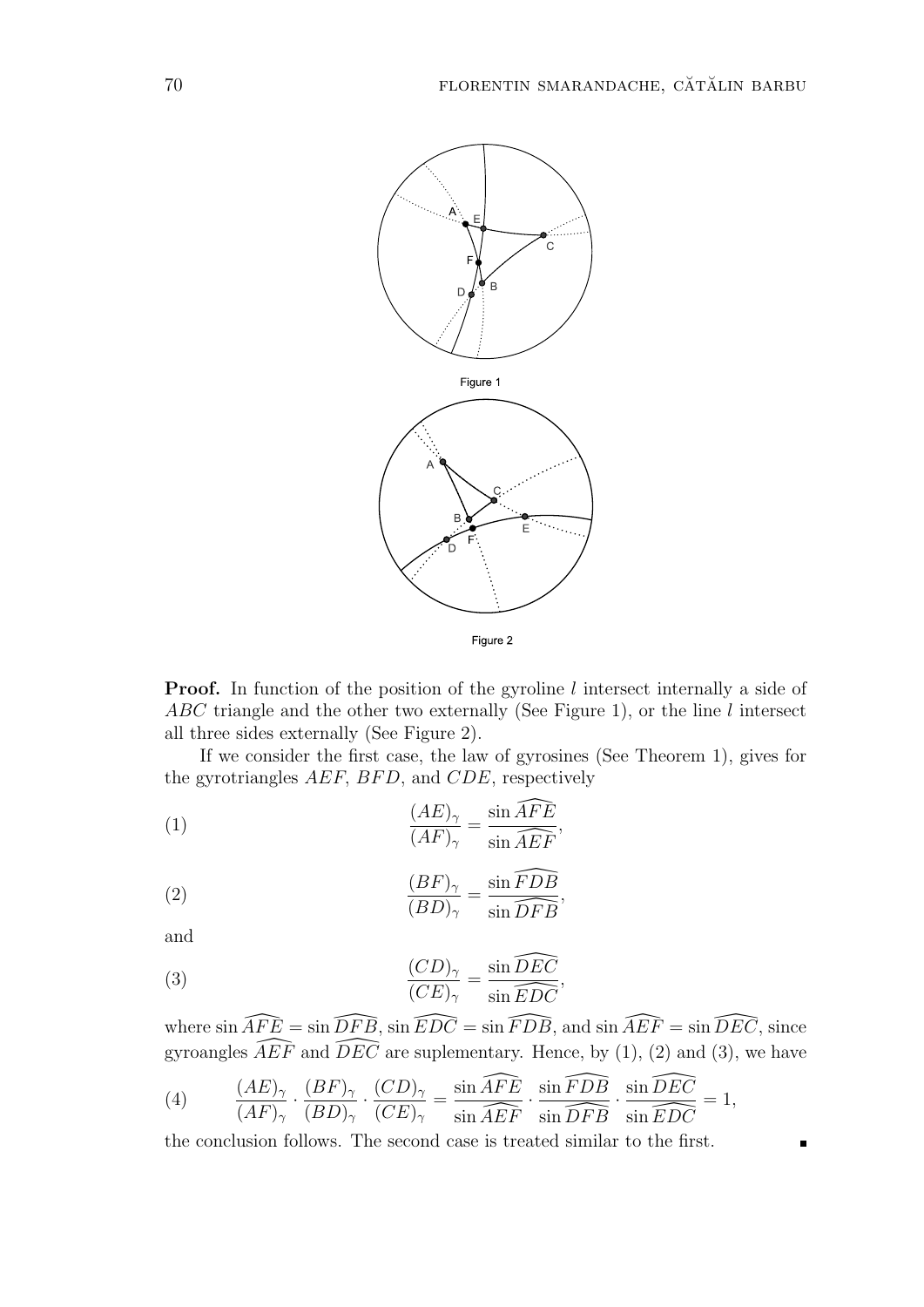

**Proof.** In function of the position of the gyroline *l* intersect internally a side of *ABC* triangle and the other two externally (See Figure 1), or the line *l* intersect all three sides externally (See Figure 2).

If we consider the first case, the law of gyrosines (See Theorem 1), gives for the gyrotriangles *AEF, BF D,* and *CDE*, respectively

(1) 
$$
\frac{(AE)_{\gamma}}{(AF)_{\gamma}} = \frac{\sin \widehat{AFE}}{\sin \widehat{AEF}},
$$

(2) 
$$
\frac{(BF)_{\gamma}}{(BD)_{\gamma}} = \frac{\sin \widehat{FDB}}{\sin \widehat{DFB}},
$$

and

(3) 
$$
\frac{(CD)_{\gamma}}{(CE)_{\gamma}} = \frac{\sin \widehat{DEC}}{\sin \widehat{EDC}},
$$

where  $\sin \widehat{AFE} = \sin \widehat{DFB}$ ,  $\sin \widehat{EDC} = \sin \widehat{FDB}$ , and  $\sin \widehat{AEF} = \sin \widehat{DEC}$ , since gyroangles  $\widehat{AEF}$  and  $\widehat{DEC}$  are suplementary. Hence, by (1), (2) and (3), we have

(4) 
$$
\frac{(AE)_{\gamma}}{(AF)_{\gamma}} \cdot \frac{(BF)_{\gamma}}{(BD)_{\gamma}} \cdot \frac{(CD)_{\gamma}}{(CE)_{\gamma}} = \frac{\sin \widehat{AFE}}{\sin \widehat{AEF}} \cdot \frac{\sin \widehat{FDB}}{\sin \widehat{DFB}} \cdot \frac{\sin \widehat{DEC}}{\sin \widehat{EDC}} = 1,
$$

the conclusion follows. The second case is treated similar to the first.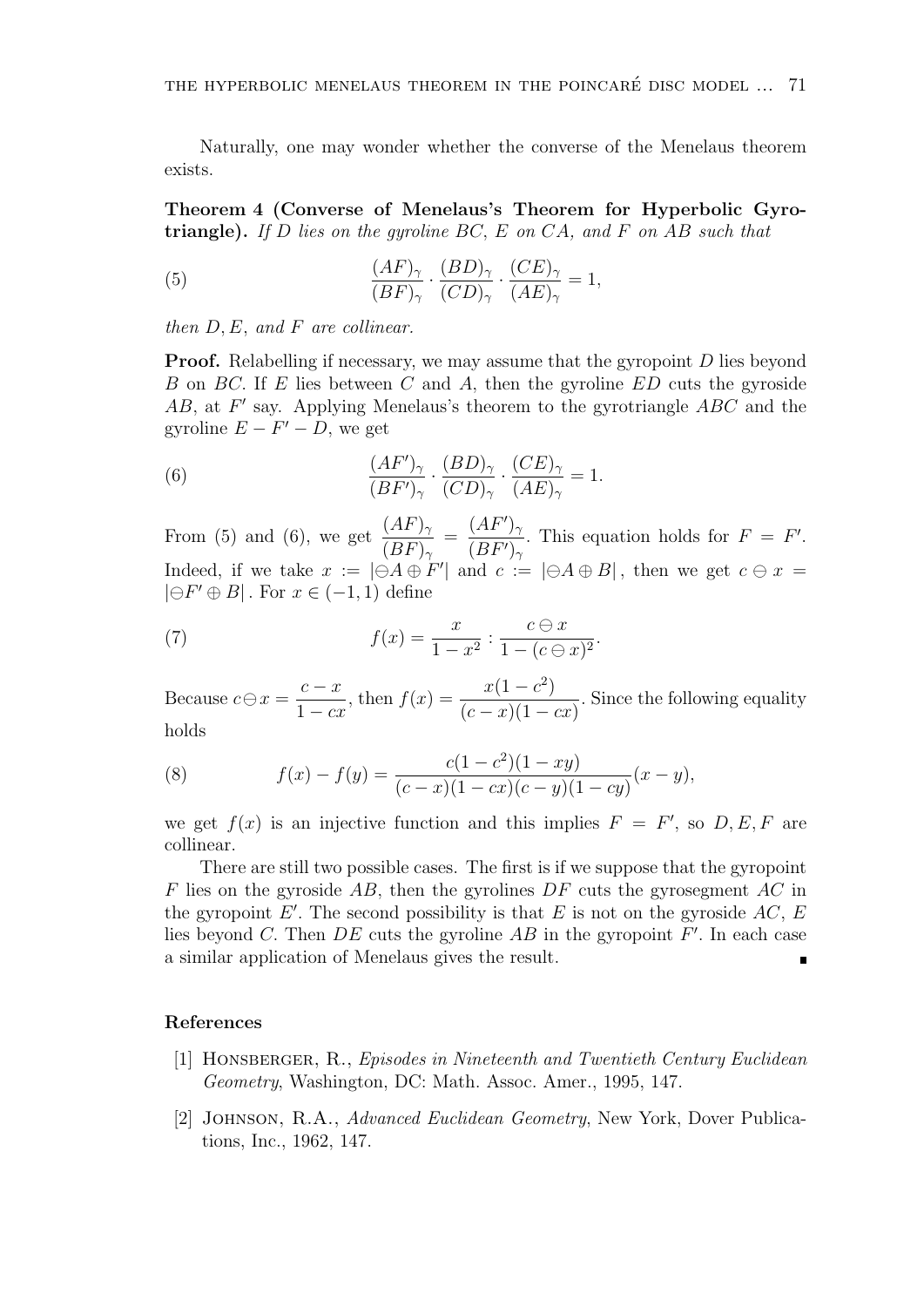Naturally, one may wonder whether the converse of the Menelaus theorem exists.

**Theorem 4 (Converse of Menelaus's Theorem for Hyperbolic Gyrotriangle).** *If D lies on the gyroline BC, E on CA, and F on AB such that*

(5) 
$$
\frac{(AF)_{\gamma}}{(BF)_{\gamma}} \cdot \frac{(BD)_{\gamma}}{(CD)_{\gamma}} \cdot \frac{(CE)_{\gamma}}{(AE)_{\gamma}} = 1,
$$

*then D, E, and F are collinear.*

**Proof.** Relabelling if necessary, we may assume that the gyropoint *D* lies beyond *B* on *BC.* If *E* lies between *C* and *A,* then the gyroline *ED* cuts the gyroside *AB,* at *F ′* say. Applying Menelaus's theorem to the gyrotriangle *ABC* and the gyroline  $E - F' - D$ , we get

(6) 
$$
\frac{(AF')_{\gamma}}{(BF')_{\gamma}} \cdot \frac{(BD)_{\gamma}}{(CD)_{\gamma}} \cdot \frac{(CE)_{\gamma}}{(AE)_{\gamma}} = 1.
$$

From (5) and (6), we get  $\frac{(AF)_{\gamma}}{(BP)}$  $(BF)$ <sup>γ</sup> =  $(AF')_{\gamma}$  $(BF')_{\gamma}$ *r*. This equation holds for  $F = F'$ . Indeed, if we take  $x := |\Theta A \oplus F'|$  and  $c := |\Theta A \oplus B|$ , then we get  $c \ominus x =$ *|⊖F ′ ⊕ B| .* For *x ∈* (*−*1*,* 1) define

(7) 
$$
f(x) = \frac{x}{1 - x^2} : \frac{c \ominus x}{1 - (c \ominus x)^2}.
$$

Because  $c \ominus x =$ *c − x* 1 *− cx ,* then  $f(x) = \frac{x(1 - c^2)}{(1 - c^2)}$  $(c - x)(1 - cx)$ *.* Since the following equality holds

(8) 
$$
f(x) - f(y) = \frac{c(1 - c^2)(1 - xy)}{(c - x)(1 - cx)(c - y)(1 - cy)}(x - y),
$$

we get  $f(x)$  is an injective function and this implies  $F = F'$ , so  $D, E, F$  are collinear.

There are still two possible cases. The first is if we suppose that the gyropoint *F* lies on the gyroside *AB,* then the gyrolines *DF* cuts the gyrosegment *AC* in the gyropoint  $E'$ . The second possibility is that  $E$  is not on the gyroside  $AC$ ,  $E$ lies beyond *C.* Then *DE* cuts the gyroline *AB* in the gyropoint *F ′ .* In each case a similar application of Menelaus gives the result.  $\blacksquare$ 

#### **References**

- [1] Honsberger, R., *Episodes in Nineteenth and Twentieth Century Euclidean Geometry*, Washington, DC: Math. Assoc. Amer., 1995, 147.
- [2] Johnson, R.A., *Advanced Euclidean Geometry*, New York, Dover Publications, Inc., 1962, 147.